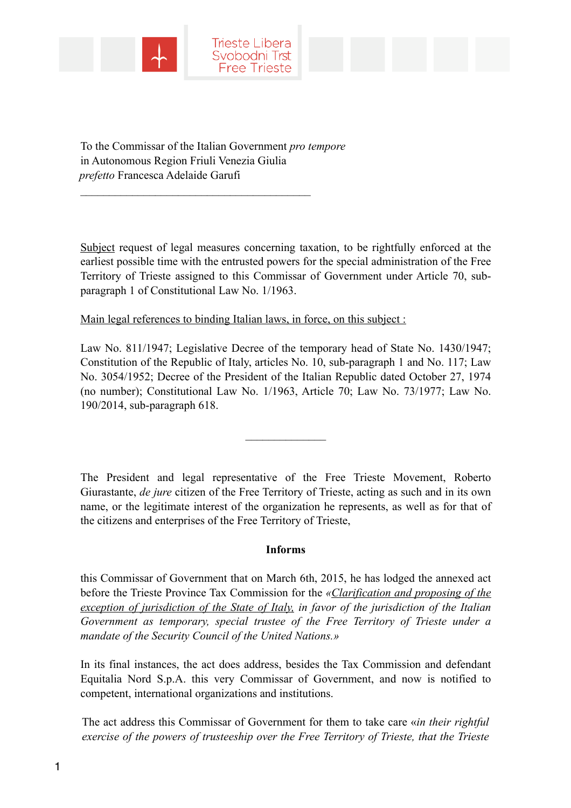



To the Commissar of the Italian Government *pro tempore* in Autonomous Region Friuli Venezia Giulia *prefetto* Francesca Adelaide Garufi

 $\mathcal{L}_\text{max}$ 

Subject request of legal measures concerning taxation, to be rightfully enforced at the earliest possible time with the entrusted powers for the special administration of the Free Territory of Trieste assigned to this Commissar of Government under Article 70, subparagraph 1 of Constitutional Law No. 1/1963.

Main legal references to binding Italian laws, in force, on this subject :

Law No. 811/1947; Legislative Decree of the temporary head of State No. 1430/1947; Constitution of the Republic of Italy, articles No. 10, sub-paragraph 1 and No. 117; Law No. 3054/1952; Decree of the President of the Italian Republic dated October 27, 1974 (no number); Constitutional Law No. 1/1963, Article 70; Law No. 73/1977; Law No. 190/2014, sub-paragraph 618.

 $\frac{1}{2}$ 

The President and legal representative of the Free Trieste Movement, Roberto Giurastante, *de jure* citizen of the Free Territory of Trieste, acting as such and in its own name, or the legitimate interest of the organization he represents, as well as for that of the citizens and enterprises of the Free Territory of Trieste,

## **Informs**

this Commissar of Government that on March 6th, 2015, he has lodged the annexed act before the Trieste Province Tax Commission for the *«Clarification and proposing of the exception of jurisdiction of the State of Italy, in favor of the jurisdiction of the Italian Government as temporary, special trustee of the Free Territory of Trieste under a mandate of the Security Council of the United Nations.»*

In its final instances, the act does address, besides the Tax Commission and defendant Equitalia Nord S.p.A. this very Commissar of Government, and now is notified to competent, international organizations and institutions.

The act address this Commissar of Government for them to take care «*in their rightful exercise of the powers of trusteeship over the Free Territory of Trieste, that the Trieste*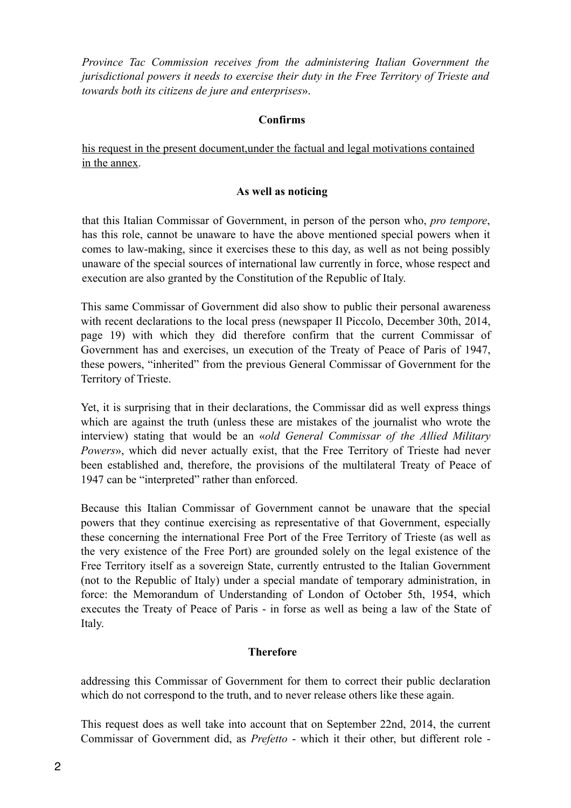*Province Tac Commission receives from the administering Italian Government the jurisdictional powers it needs to exercise their duty in the Free Territory of Trieste and towards both its citizens de jure and enterprises*».

## **Confirms**

his request in the present document,under the factual and legal motivations contained in the annex.

## **As well as noticing**

that this Italian Commissar of Government, in person of the person who, *pro tempore*, has this role, cannot be unaware to have the above mentioned special powers when it comes to law-making, since it exercises these to this day, as well as not being possibly unaware of the special sources of international law currently in force, whose respect and execution are also granted by the Constitution of the Republic of Italy.

This same Commissar of Government did also show to public their personal awareness with recent declarations to the local press (newspaper Il Piccolo, December 30th, 2014, page 19) with which they did therefore confirm that the current Commissar of Government has and exercises, un execution of the Treaty of Peace of Paris of 1947, these powers, "inherited" from the previous General Commissar of Government for the Territory of Trieste.

Yet, it is surprising that in their declarations, the Commissar did as well express things which are against the truth (unless these are mistakes of the journalist who wrote the interview) stating that would be an «*old General Commissar of the Allied Military Powers*», which did never actually exist, that the Free Territory of Trieste had never been established and, therefore, the provisions of the multilateral Treaty of Peace of 1947 can be "interpreted" rather than enforced.

Because this Italian Commissar of Government cannot be unaware that the special powers that they continue exercising as representative of that Government, especially these concerning the international Free Port of the Free Territory of Trieste (as well as the very existence of the Free Port) are grounded solely on the legal existence of the Free Territory itself as a sovereign State, currently entrusted to the Italian Government (not to the Republic of Italy) under a special mandate of temporary administration, in force: the Memorandum of Understanding of London of October 5th, 1954, which executes the Treaty of Peace of Paris - in forse as well as being a law of the State of Italy.

## **Therefore**

addressing this Commissar of Government for them to correct their public declaration which do not correspond to the truth, and to never release others like these again.

This request does as well take into account that on September 22nd, 2014, the current Commissar of Government did, as *Prefetto* - which it their other, but different role -